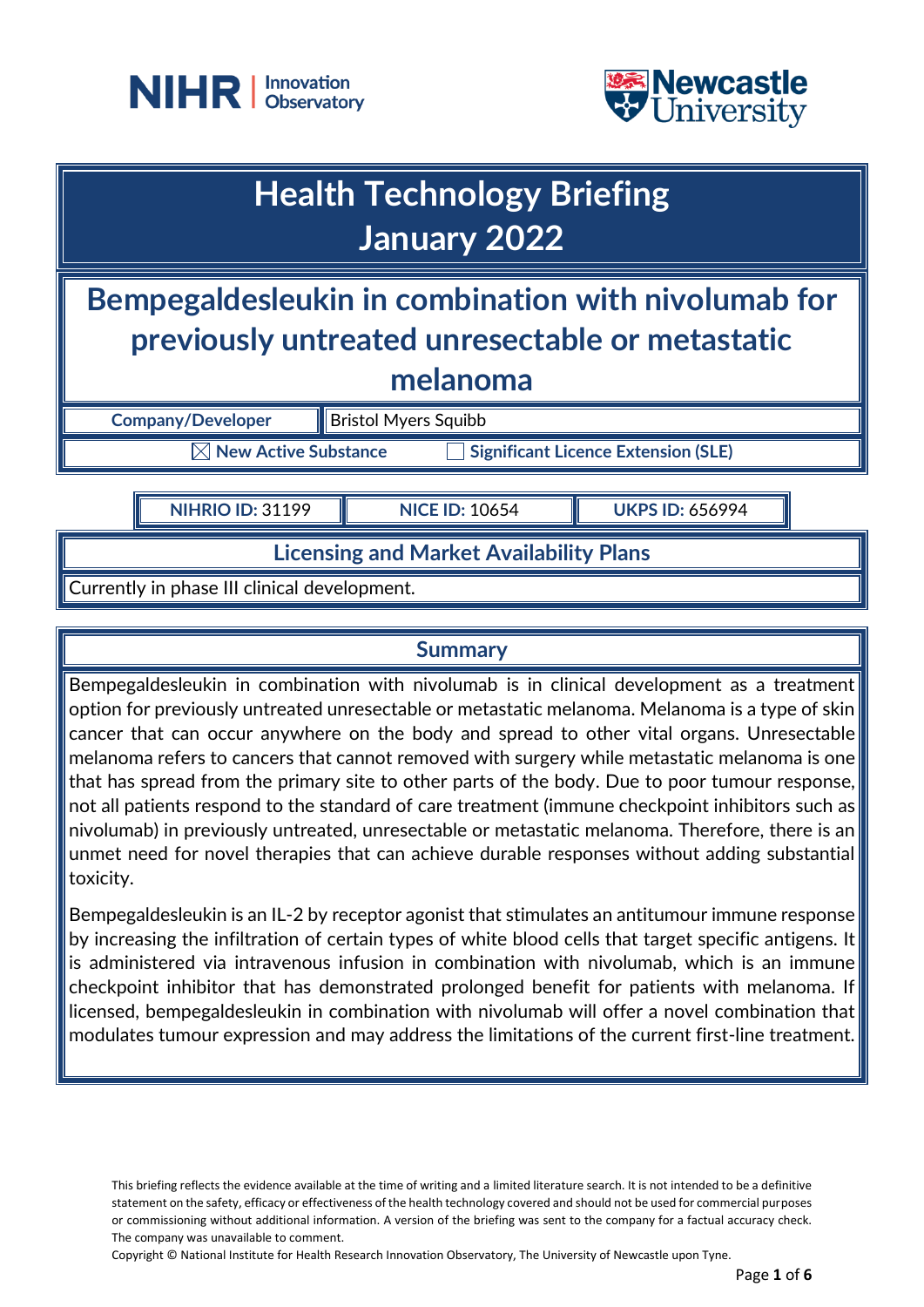



## **Health Technology Briefing January 2022**

**Bempegaldesleukin in combination with nivolumab for previously untreated unresectable or metastatic melanoma** 

**Company/Developer Bristol Myers Squibb** 

 $\boxtimes$  **New Active Substance**  $\Box$  **Significant Licence Extension (SLE)** 

**NIHRIO ID:** 31199 **NICE ID:** 10654 **UKPS ID:** 656994

**Licensing and Market Availability Plans**

Currently in phase III clinical development.

### **Summary**

Bempegaldesleukin in combination with nivolumab is in clinical development as a treatment option for previously untreated unresectable or metastatic melanoma. Melanoma is a type of skin cancer that can occur anywhere on the body and spread to other vital organs. Unresectable melanoma refers to cancers that cannot removed with surgery while metastatic melanoma is one that has spread from the primary site to other parts of the body. Due to poor tumour response, not all patients respond to the standard of care treatment (immune checkpoint inhibitors such as nivolumab) in previously untreated, unresectable or metastatic melanoma. Therefore, there is an unmet need for novel therapies that can achieve durable responses without adding substantial toxicity.

Bempegaldesleukin is an IL-2 by receptor agonist that stimulates an antitumour immune response by increasing the infiltration of certain types of white blood cells that target specific antigens. It is administered via intravenous infusion in combination with nivolumab, which is an immune checkpoint inhibitor that has demonstrated prolonged benefit for patients with melanoma. If licensed, bempegaldesleukin in combination with nivolumab will offer a novel combination that modulates tumour expression and may address the limitations of the current first-line treatment.

This briefing reflects the evidence available at the time of writing and a limited literature search. It is not intended to be a definitive statement on the safety, efficacy or effectiveness of the health technology covered and should not be used for commercial purposes or commissioning without additional information. A version of the briefing was sent to the company for a factual accuracy check. The company was unavailable to comment.

Copyright © National Institute for Health Research Innovation Observatory, The University of Newcastle upon Tyne.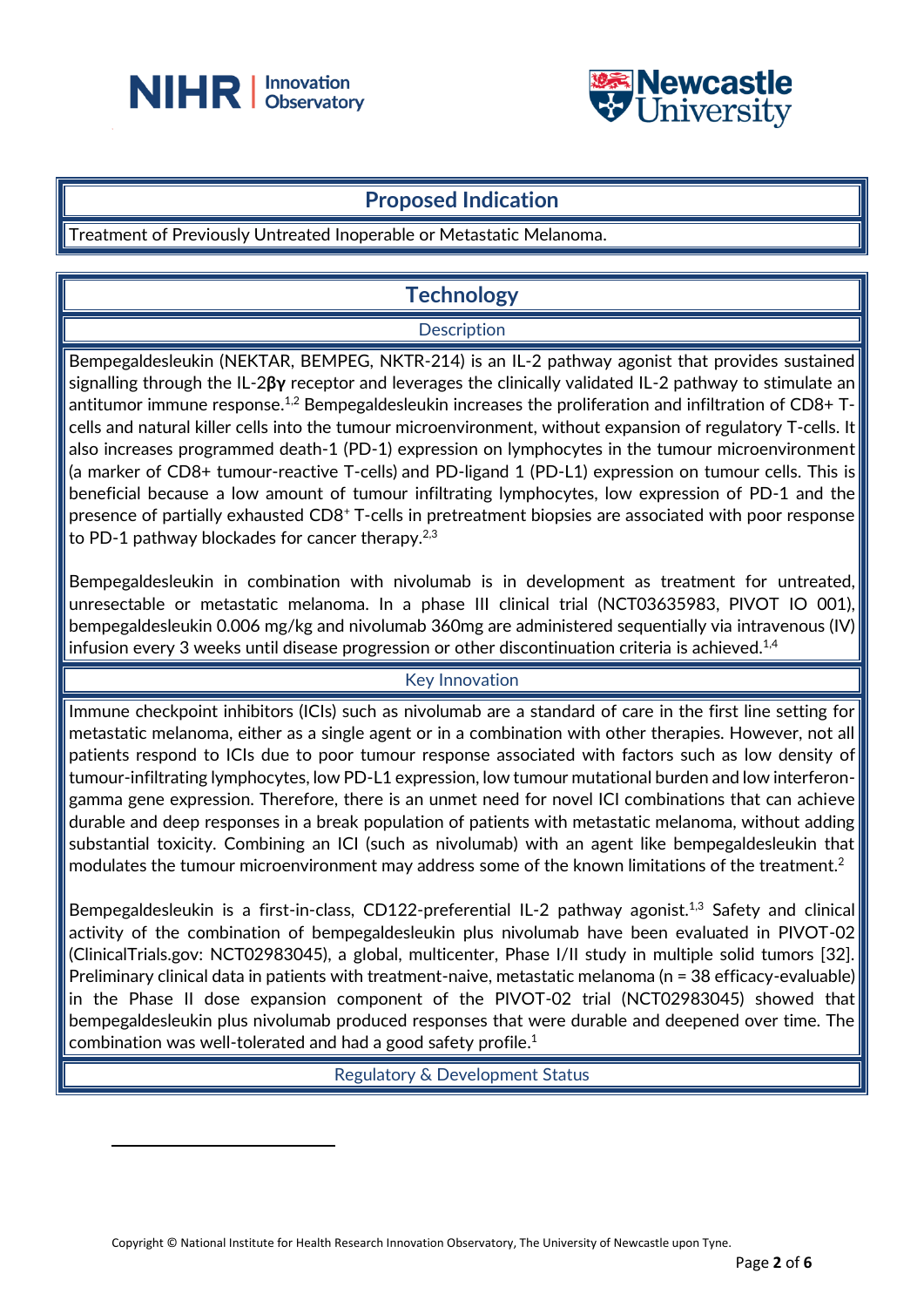



## **Proposed Indication**

Treatment of Previously Untreated Inoperable or Metastatic Melanoma.

## **Technology**

#### **Description**

Bempegaldesleukin (NEKTAR, BEMPEG, NKTR-214) is an IL-2 pathway agonist that provides sustained signalling through the IL-2**βγ** receptor and leverages the clinically validated IL-2 pathway to stimulate an antitumor immune response. $^{1,2}$  Bempegaldesleukin increases the proliferation and infiltration of CD8+ Tcells and natural killer cells into the tumour microenvironment, without expansion of regulatory T-cells. It also increases programmed death-1 (PD-1) expression on lymphocytes in the tumour microenvironment (a marker of CD8+ tumour-reactive T-cells) and PD-ligand 1 (PD-L1) expression on tumour cells. This is beneficial because a low amount of tumour infiltrating lymphocytes, low expression of PD-1 and the presence of partially exhausted CD8<sup>+</sup> T-cells in pretreatment biopsies are associated with poor response to PD-1 pathway blockades for cancer therapy.<sup>2,3</sup>

Bempegaldesleukin in combination with nivolumab is in development as treatment for untreated, unresectable or metastatic melanoma. In a phase III clinical trial (NCT03635983, PIVOT IO 001), bempegaldesleukin 0.006 mg/kg and nivolumab 360mg are administered sequentially via intravenous (IV) infusion every 3 weeks until disease progression or other discontinuation criteria is achieved. $^{1,4}$ 

#### Key Innovation

Immune checkpoint inhibitors (ICIs) such as nivolumab are a standard of care in the first line setting for metastatic melanoma, either as a single agent or in a combination with other therapies. However, not all patients respond to ICIs due to poor tumour response associated with factors such as low density of tumour-infiltrating lymphocytes, low PD-L1 expression, low tumour mutational burden and low interferongamma gene expression. Therefore, there is an unmet need for novel ICI combinations that can achieve durable and deep responses in a break population of patients with metastatic melanoma, without adding substantial toxicity. Combining an ICI (such as nivolumab) with an agent like bempegaldesleukin that modulates the tumour microenvironment may address some of the known limitations of the treatment.<sup>2</sup>

Bempegaldesleukin is a first-in-class, CD122-preferential IL-2 pathway agonist.<sup>1,3</sup> Safety and clinical activity of the combination of bempegaldesleukin plus nivolumab have been evaluated in PIVOT-02 (ClinicalTrials.gov: NCT02983045), a global, multicenter, Phase I/II study in multiple solid tumors [32]. Preliminary clinical data in patients with treatment-naive, metastatic melanoma (n = 38 efficacy-evaluable) in the Phase II dose expansion component of the PIVOT-02 trial (NCT02983045) showed that bempegaldesleukin plus nivolumab produced responses that were durable and deepened over time. The combination was well-tolerated and had a good safety profile. $^1$ 

Regulatory & Development Status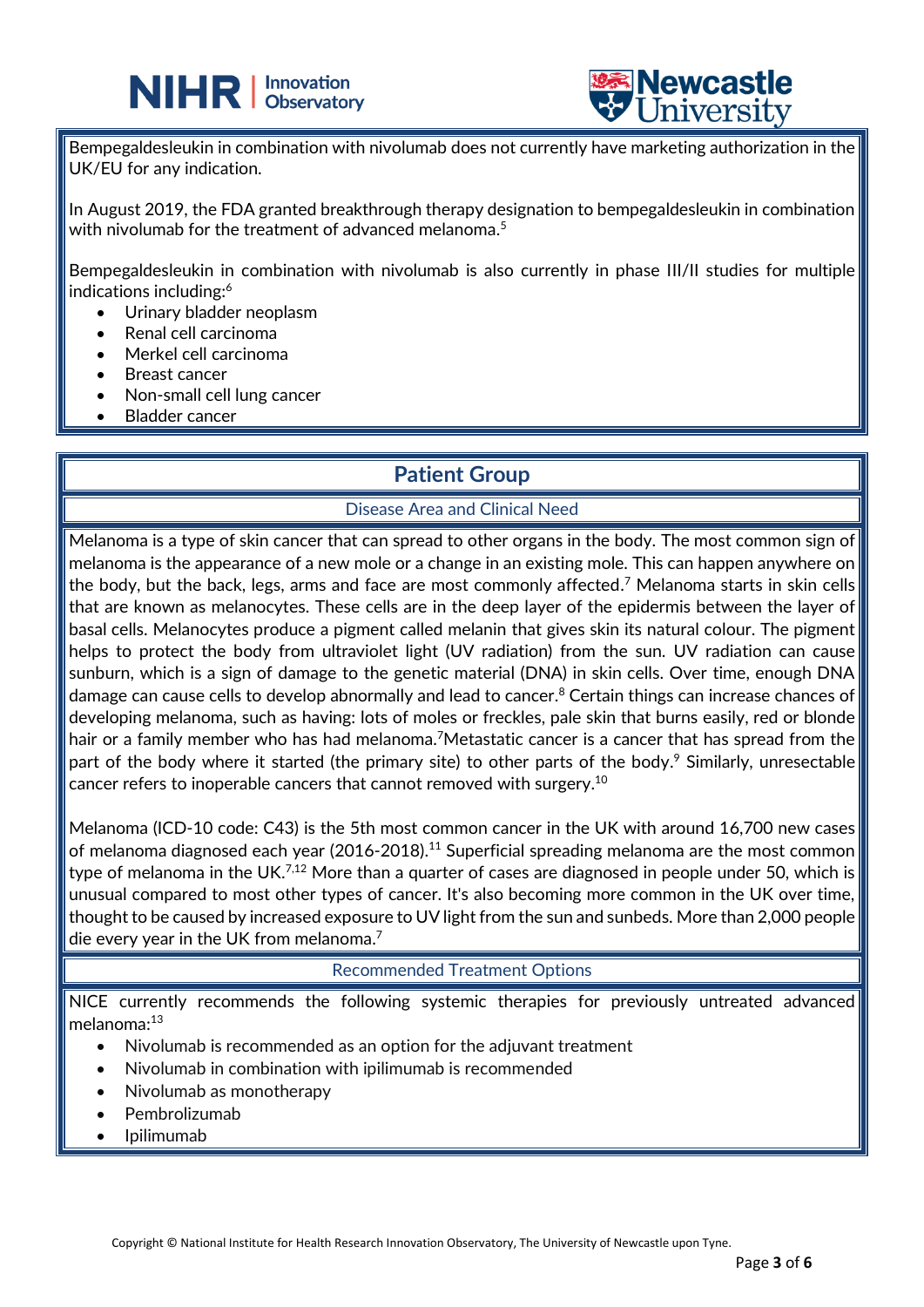



Bempegaldesleukin in combination with nivolumab does not currently have marketing authorization in the UK/EU for any indication.

֦

In August 2019, the FDA granted breakthrough therapy designation to bempegaldesleukin in combination with nivolumab for the treatment of advanced melanoma. 5

Bempegaldesleukin in combination with nivolumab is also currently in phase III/II studies for multiple indications including: 6

- Urinary bladder neoplasm
- Renal cell carcinoma
- Merkel cell carcinoma
- Breast cancer
- Non-small cell lung cancer
- **Bladder cancer**

## **Patient Group**

#### Disease Area and Clinical Need

Melanoma is a type of skin cancer that can spread to other organs in the body. The most common sign of melanoma is the appearance of a new mole or a change in an existing mole. This can happen anywhere on the body, but the back, legs, arms and face are most commonly affected. <sup>7</sup> Melanoma starts in skin cells that are known as melanocytes. These cells are in the deep layer of the epidermis between the layer of basal cells. Melanocytes produce a pigment called melanin that gives skin its natural colour. The pigment helps to protect the body from ultraviolet light (UV radiation) from the sun. UV radiation can cause sunburn, which is a sign of damage to the genetic material (DNA) in skin cells. Over time, enough DNA damage can cause cells to develop abnormally and lead to cancer. <sup>8</sup> Certain things can increase chances of developing melanoma, such as having: lots of moles or freckles, pale skin that burns easily, red or blonde hair or a family member who has had melanoma.<sup>7</sup>Metastatic cancer is a cancer that has spread from the part of the body where it started (the primary site) to other parts of the body.<sup>9</sup> Similarly, unresectable cancer refers to inoperable cancers that cannot removed with surgery. $^{10}$ 

Melanoma (ICD-10 code: C43) is the 5th most common cancer in the UK with around 16,700 new cases of melanoma diagnosed each year (2016-2018).<sup>11</sup> Superficial spreading melanoma are the most common type of melanoma in the UK. $^{7,12}$  More than a quarter of cases are diagnosed in people under 50, which is unusual compared to most other types of cancer. It's also becoming more common in the UK over time, thought to be caused by increased exposure to UV light from the sun and sunbeds. More than 2,000 people die every year in the UK from melanoma. $^7$ 

#### Recommended Treatment Options

NICE currently recommends the following systemic therapies for previously untreated advanced melanoma: 13

- Nivolumab is recommended as an option for the adjuvant treatment
- Nivolumab in combination with ipilimumab is recommended
- Nivolumab as monotherapy
- Pembrolizumab
- Ipilimumab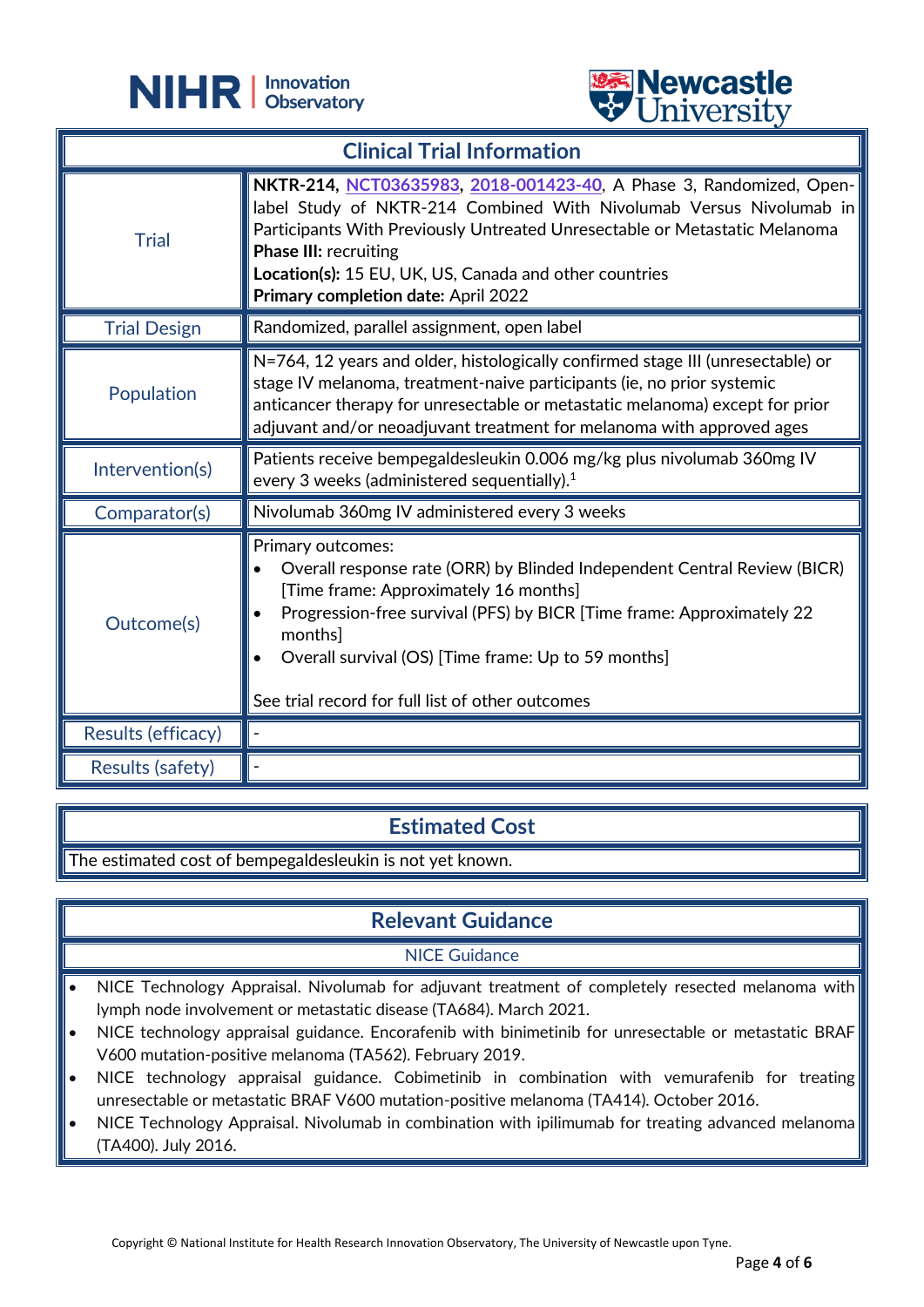

֦



| <b>Clinical Trial Information</b> |                                                                                                                                                                                                                                                                                                                                                           |
|-----------------------------------|-----------------------------------------------------------------------------------------------------------------------------------------------------------------------------------------------------------------------------------------------------------------------------------------------------------------------------------------------------------|
| <b>Trial</b>                      | NKTR-214, NCT03635983, 2018-001423-40, A Phase 3, Randomized, Open-<br>label Study of NKTR-214 Combined With Nivolumab Versus Nivolumab in<br>Participants With Previously Untreated Unresectable or Metastatic Melanoma<br><b>Phase III: recruiting</b><br>Location(s): 15 EU, UK, US, Canada and other countries<br>Primary completion date: April 2022 |
| <b>Trial Design</b>               | Randomized, parallel assignment, open label                                                                                                                                                                                                                                                                                                               |
| Population                        | N=764, 12 years and older, histologically confirmed stage III (unresectable) or<br>stage IV melanoma, treatment-naive participants (ie, no prior systemic<br>anticancer therapy for unresectable or metastatic melanoma) except for prior<br>adjuvant and/or neoadjuvant treatment for melanoma with approved ages                                        |
| Intervention(s)                   | Patients receive bempegaldesleukin 0.006 mg/kg plus nivolumab 360mg IV<br>every 3 weeks (administered sequentially). $1$                                                                                                                                                                                                                                  |
| Comparator(s)                     | Nivolumab 360mg IV administered every 3 weeks                                                                                                                                                                                                                                                                                                             |
| Outcome(s)                        | Primary outcomes:<br>Overall response rate (ORR) by Blinded Independent Central Review (BICR)<br>[Time frame: Approximately 16 months]<br>Progression-free survival (PFS) by BICR [Time frame: Approximately 22<br>monthsl<br>Overall survival (OS) [Time frame: Up to 59 months]<br>See trial record for full list of other outcomes                     |
| Results (efficacy)                |                                                                                                                                                                                                                                                                                                                                                           |
| Results (safety)                  |                                                                                                                                                                                                                                                                                                                                                           |

## **Estimated Cost**

The estimated cost of bempegaldesleukin is not yet known.

## **Relevant Guidance**

#### NICE Guidance

- NICE Technology Appraisal. Nivolumab for adjuvant treatment of completely resected melanoma with lymph node involvement or metastatic disease (TA684). March 2021.
- NICE technology appraisal guidance. Encorafenib with binimetinib for unresectable or metastatic BRAF V600 mutation-positive melanoma (TA562). February 2019.
- NICE technology appraisal guidance. Cobimetinib in combination with vemurafenib for treating unresectable or metastatic BRAF V600 mutation-positive melanoma (TA414). October 2016.
- NICE Technology Appraisal. Nivolumab in combination with ipilimumab for treating advanced melanoma (TA400). July 2016.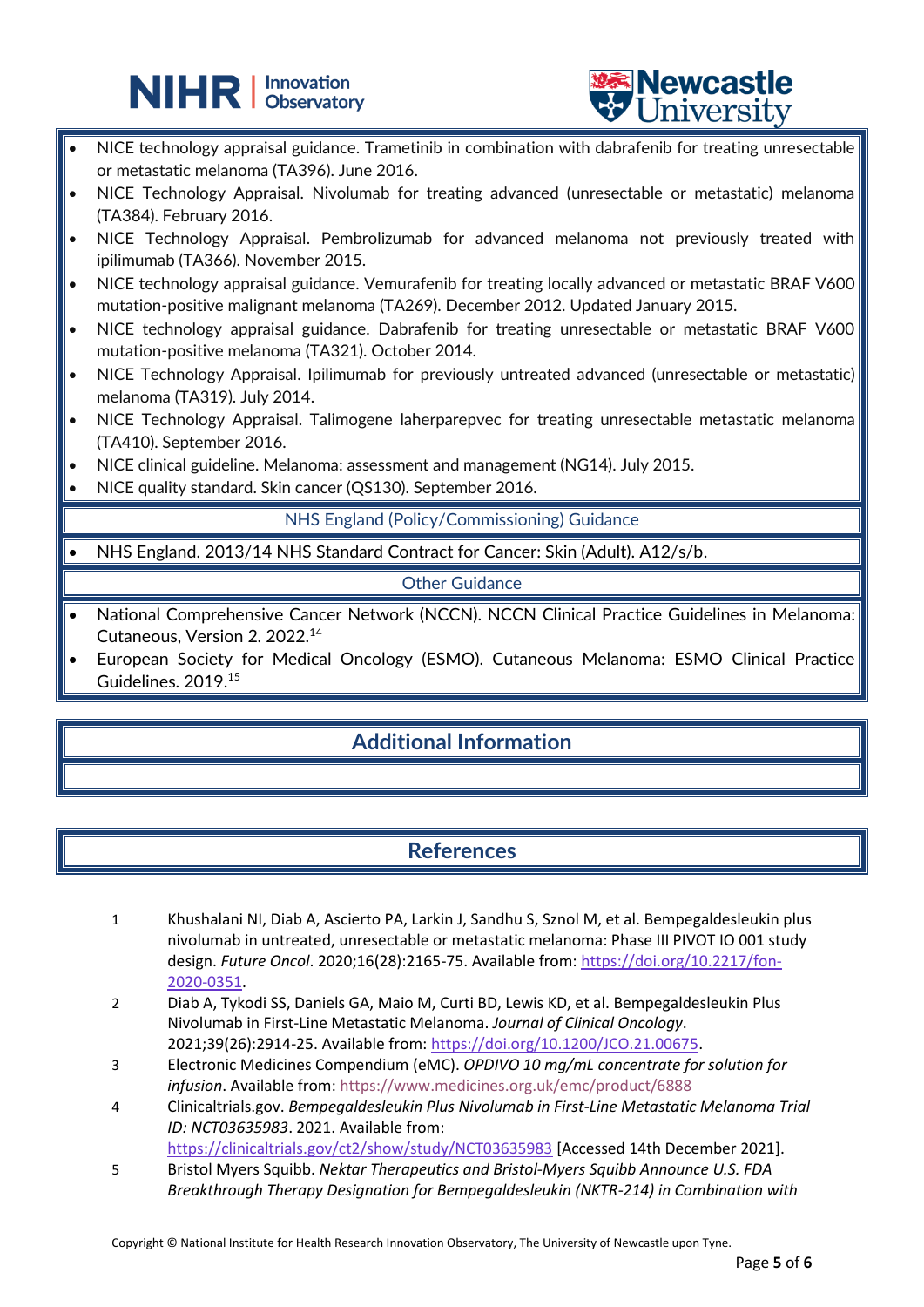# **NIHR** | Innovation



- NICE technology appraisal guidance. Trametinib in combination with dabrafenib for treating unresectable or metastatic melanoma (TA396). June 2016.
- NICE Technology Appraisal. Nivolumab for treating advanced (unresectable or metastatic) melanoma (TA384). February 2016.
- NICE Technology Appraisal. Pembrolizumab for advanced melanoma not previously treated with ipilimumab (TA366). November 2015.
- NICE technology appraisal guidance. Vemurafenib for treating locally advanced or metastatic BRAF V600 mutation-positive malignant melanoma (TA269). December 2012. Updated January 2015.
- NICE technology appraisal guidance. Dabrafenib for treating unresectable or metastatic BRAF V600 mutation-positive melanoma (TA321). October 2014.
- NICE Technology Appraisal. Ipilimumab for previously untreated advanced (unresectable or metastatic) melanoma (TA319). July 2014.
- NICE Technology Appraisal. Talimogene laherparepvec for treating unresectable metastatic melanoma (TA410). September 2016.
- NICE clinical guideline. Melanoma: assessment and management (NG14). July 2015.

֦

• NICE quality standard. Skin cancer (QS130). September 2016.

NHS England (Policy/Commissioning) Guidance

• NHS England. 2013/14 NHS Standard Contract for Cancer: Skin (Adult). A12/s/b.

Other Guidance

- National Comprehensive Cancer Network (NCCN). NCCN Clinical Practice Guidelines in Melanoma: Cutaneous, Version 2. 2022. 14
- European Society for Medical Oncology (ESMO). Cutaneous Melanoma: ESMO Clinical Practice Guidelines. 2019. 15

## **Additional Information**

## **References**

- 1 Khushalani NI, Diab A, Ascierto PA, Larkin J, Sandhu S, Sznol M, et al. Bempegaldesleukin plus nivolumab in untreated, unresectable or metastatic melanoma: Phase III PIVOT IO 001 study design. *Future Oncol*. 2020;16(28):2165-75. Available from: [https://doi.org/10.2217/fon-](https://doi.org/10.2217/fon-2020-0351)[2020-0351.](https://doi.org/10.2217/fon-2020-0351)
- 2 Diab A, Tykodi SS, Daniels GA, Maio M, Curti BD, Lewis KD, et al. Bempegaldesleukin Plus Nivolumab in First-Line Metastatic Melanoma. *Journal of Clinical Oncology*. 2021;39(26):2914-25. Available from[: https://doi.org/10.1200/JCO.21.00675.](https://doi.org/10.1200/JCO.21.00675)
- 3 Electronic Medicines Compendium (eMC). *OPDIVO 10 mg/mL concentrate for solution for infusion*. Available from:<https://www.medicines.org.uk/emc/product/6888>
- 4 Clinicaltrials.gov. *Bempegaldesleukin Plus Nivolumab in First-Line Metastatic Melanoma Trial ID: NCT03635983*. 2021. Available from:

<https://clinicaltrials.gov/ct2/show/study/NCT03635983> [Accessed 14th December 2021]. 5 Bristol Myers Squibb. *Nektar Therapeutics and Bristol-Myers Squibb Announce U.S. FDA* 

*Breakthrough Therapy Designation for Bempegaldesleukin (NKTR-214) in Combination with*